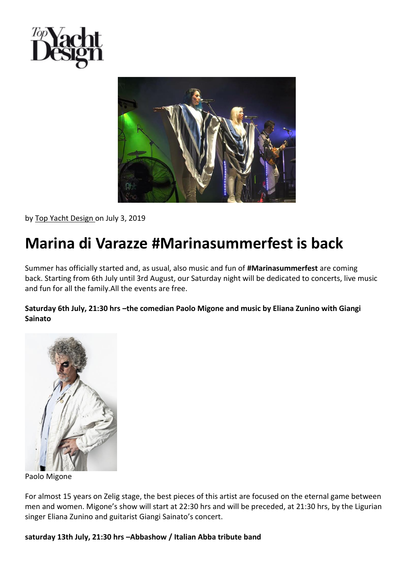



by [Top Yacht Design o](https://www.top-yachtdesign.com/author/tyd/)n July 3, 2019

# **Marina di Varazze #Marinasummerfest is back**

Summer has officially started and, as usual, also music and fun of **#Marinasummerfest** are coming back. Starting from 6th July until 3rd August, our Saturday night will be dedicated to concerts, live music and fun for all the family.All the events are free.

## **Saturday 6th July, 21:30 hrs –the comedian Paolo Migone and music by Eliana Zunino with Giangi Sainato**



Paolo Migone

For almost 15 years on Zelig stage, the best pieces of this artist are focused on the eternal game between men and women. Migone's show will start at 22:30 hrs and will be preceded, at 21:30 hrs, by the Ligurian singer Eliana Zunino and guitarist Giangi Sainato's concert.

### **saturday 13th July, 21:30 hrs –Abbashow / Italian Abba tribute band**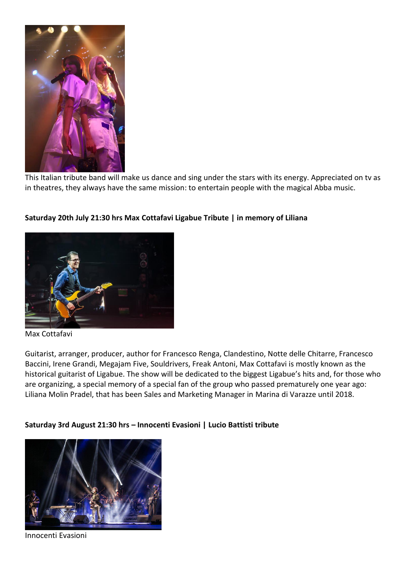

This Italian tribute band will make us dance and sing under the stars with its energy. Appreciated on tv as in theatres, they always have the same mission: to entertain people with the magical Abba music.



### **Saturday 20th July 21:30 hrs Max Cottafavi Ligabue Tribute | in memory of Liliana**

#### Max Cottafavi

Guitarist, arranger, producer, author for Francesco Renga, Clandestino, Notte delle Chitarre, Francesco Baccini, Irene Grandi, Megajam Five, Souldrivers, Freak Antoni, Max Cottafavi is mostly known as the historical guitarist of Ligabue. The show will be dedicated to the biggest Ligabue's hits and, for those who are organizing, a special memory of a special fan of the group who passed prematurely one year ago: Liliana Molin Pradel, that has been Sales and Marketing Manager in Marina di Varazze until 2018.

### **Saturday 3rd August 21:30 hrs – Innocenti Evasioni | Lucio Battisti tribute**



Innocenti Evasioni